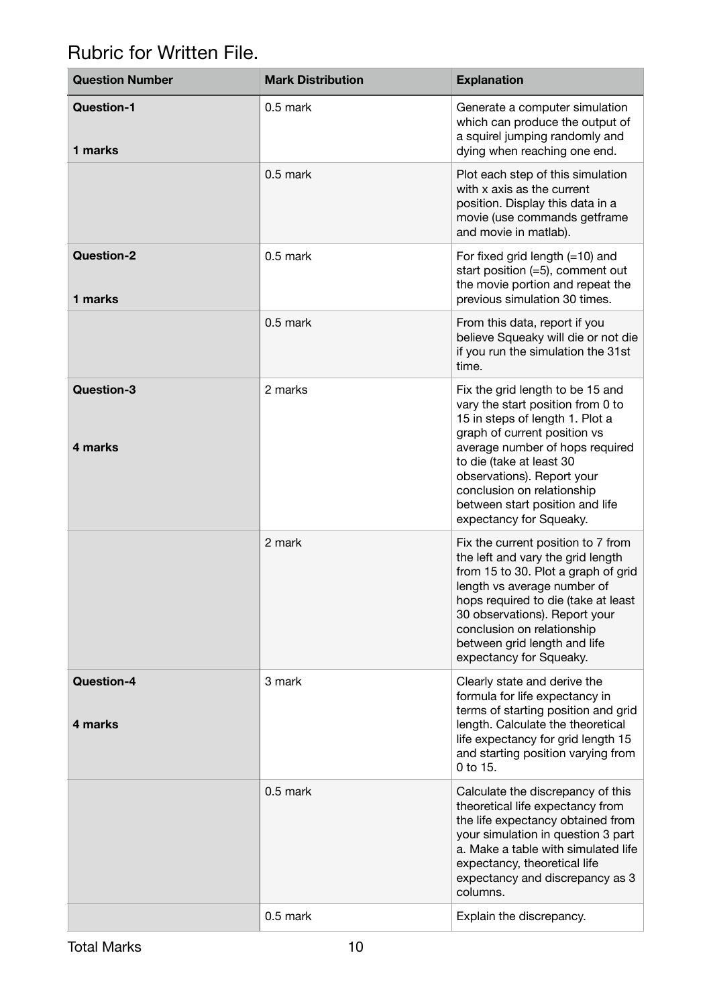## Rubric for Written File.

| <b>Question Number</b> | <b>Mark Distribution</b> | <b>Explanation</b>                                                                                                                                                                                                                                                                                                                |  |
|------------------------|--------------------------|-----------------------------------------------------------------------------------------------------------------------------------------------------------------------------------------------------------------------------------------------------------------------------------------------------------------------------------|--|
| Question-1<br>1 marks  | 0.5 mark                 | Generate a computer simulation<br>which can produce the output of<br>a squirel jumping randomly and<br>dying when reaching one end.                                                                                                                                                                                               |  |
|                        | 0.5 mark                 | Plot each step of this simulation<br>with x axis as the current<br>position. Display this data in a<br>movie (use commands getframe<br>and movie in matlab).                                                                                                                                                                      |  |
| Question-2<br>1 marks  | 0.5 mark                 | For fixed grid length $(=10)$ and<br>start position $(=5)$ , comment out<br>the movie portion and repeat the<br>previous simulation 30 times.                                                                                                                                                                                     |  |
|                        | 0.5 mark                 | From this data, report if you<br>believe Squeaky will die or not die<br>if you run the simulation the 31st<br>time.                                                                                                                                                                                                               |  |
| Question-3<br>4 marks  | 2 marks                  | Fix the grid length to be 15 and<br>vary the start position from 0 to<br>15 in steps of length 1. Plot a<br>graph of current position vs<br>average number of hops required<br>to die (take at least 30<br>observations). Report your<br>conclusion on relationship<br>between start position and life<br>expectancy for Squeaky. |  |
|                        | 2 mark                   | Fix the current position to 7 from<br>the left and vary the grid length<br>from 15 to 30. Plot a graph of grid<br>length vs average number of<br>hops required to die (take at least<br>30 observations). Report your<br>conclusion on relationship<br>between grid length and life<br>expectancy for Squeaky.                    |  |
| Question-4<br>4 marks  | 3 mark                   | Clearly state and derive the<br>formula for life expectancy in<br>terms of starting position and grid<br>length. Calculate the theoretical<br>life expectancy for grid length 15<br>and starting position varying from<br>0 to 15.                                                                                                |  |
|                        | 0.5 mark                 | Calculate the discrepancy of this<br>theoretical life expectancy from<br>the life expectancy obtained from<br>your simulation in question 3 part<br>a. Make a table with simulated life<br>expectancy, theoretical life<br>expectancy and discrepancy as 3<br>columns.                                                            |  |
|                        | 0.5 mark                 | Explain the discrepancy.                                                                                                                                                                                                                                                                                                          |  |